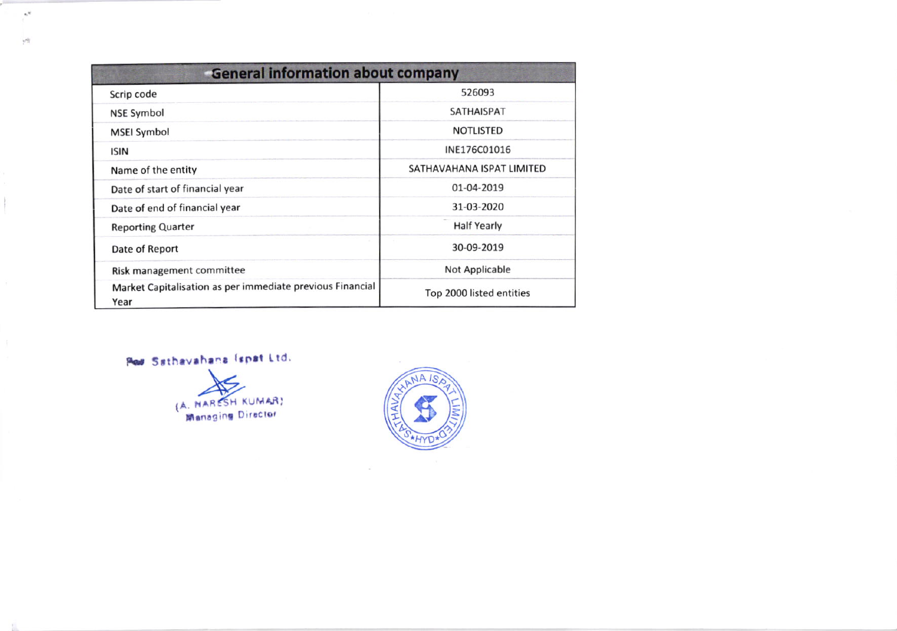| <b>General information about company</b>                          |                           |  |  |  |  |  |  |
|-------------------------------------------------------------------|---------------------------|--|--|--|--|--|--|
| Scrip code                                                        | 526093                    |  |  |  |  |  |  |
| <b>NSE Symbol</b>                                                 | <b>SATHAISPAT</b>         |  |  |  |  |  |  |
| <b>MSEI Symbol</b>                                                | <b>NOTLISTED</b>          |  |  |  |  |  |  |
| <b>ISIN</b>                                                       | INE176C01016              |  |  |  |  |  |  |
| Name of the entity                                                | SATHAVAHANA ISPAT LIMITED |  |  |  |  |  |  |
| Date of start of financial year                                   | 01-04-2019                |  |  |  |  |  |  |
| Date of end of financial year                                     | 31-03-2020                |  |  |  |  |  |  |
| <b>Reporting Quarter</b>                                          | <b>Half Yearly</b>        |  |  |  |  |  |  |
| Date of Report                                                    | 30-09-2019                |  |  |  |  |  |  |
| Risk management committee                                         | Not Applicable            |  |  |  |  |  |  |
| Market Capitalisation as per immediate previous Financial<br>Year | Top 2000 listed entities  |  |  |  |  |  |  |

Per Sathavahana (spat Ltd.

 $\cdot^*$ 

 $\gamma^{\rm{eff}}$ 

(A. NARESH KUMAR)

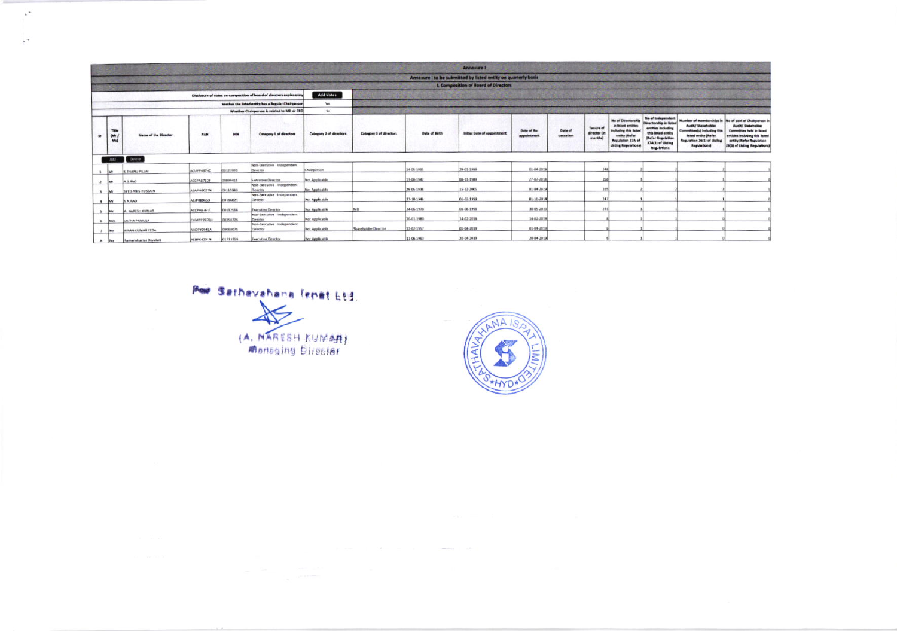|                      |                     |                             |                    |           |                                                                      |                                |                                |                      | <b>Annexure I</b>                                              |                                   |                      |                                             |                                                                                                                                                      |                                                                                                                                                                |                                                                                                                                        |                                                                                                                                                                                                              |
|----------------------|---------------------|-----------------------------|--------------------|-----------|----------------------------------------------------------------------|--------------------------------|--------------------------------|----------------------|----------------------------------------------------------------|-----------------------------------|----------------------|---------------------------------------------|------------------------------------------------------------------------------------------------------------------------------------------------------|----------------------------------------------------------------------------------------------------------------------------------------------------------------|----------------------------------------------------------------------------------------------------------------------------------------|--------------------------------------------------------------------------------------------------------------------------------------------------------------------------------------------------------------|
|                      |                     |                             |                    |           |                                                                      |                                |                                |                      | Annexure I to be submitted by listed entity on quarterly basis |                                   |                      |                                             |                                                                                                                                                      |                                                                                                                                                                |                                                                                                                                        |                                                                                                                                                                                                              |
|                      |                     |                             |                    |           |                                                                      |                                |                                |                      | <b>I. Composition of Board of Directors</b>                    |                                   |                      |                                             |                                                                                                                                                      |                                                                                                                                                                |                                                                                                                                        |                                                                                                                                                                                                              |
|                      |                     |                             |                    |           | Disclosure of notes on composition of board of directors explanatory | <b>Add Notes</b>               |                                |                      |                                                                |                                   |                      |                                             |                                                                                                                                                      |                                                                                                                                                                |                                                                                                                                        |                                                                                                                                                                                                              |
|                      |                     |                             |                    |           | Wether the listed entity has a Regular Chairperson                   | Yes.                           |                                |                      |                                                                |                                   |                      |                                             |                                                                                                                                                      |                                                                                                                                                                |                                                                                                                                        |                                                                                                                                                                                                              |
|                      |                     |                             |                    |           | Whether Chairperson is related to MD or CEO.                         | No                             |                                |                      |                                                                |                                   |                      |                                             |                                                                                                                                                      |                                                                                                                                                                |                                                                                                                                        |                                                                                                                                                                                                              |
| $\mathbf{r}$         | Title<br>(Mr<br>Ma) | <b>Name of the Director</b> | PAN                | DIN       | Category 1 of directors                                              | <b>Category 2 of directors</b> | <b>Category 3 of directors</b> | <b>Date of Birth</b> | Initial Date of appointment                                    | <b>Oute of Ro-</b><br>appointment | Date of<br>cassation | <b>Tenure</b> of<br>director (in<br>months) | No of Directorship<br>in listed entities<br><b>Including this lister</b><br>entity (Refer<br><b>Regulation 17A of</b><br><b>Listing Regulations:</b> | No of Independent<br><b>Oirectorship in listed</b><br>entities including<br>this listed antity<br>(Refer Regulation<br>17A(1) of Listing<br><b>Regulations</b> | Audit/ Stateholder<br><b>Committee(s) including this</b><br>listed entity (Refer<br>Regulation 26(1) of Listing<br><b>Regulations)</b> | Number of memberships in No of post of Chairperson is<br>Audit/ Stakeholder<br><b>Committee held in Bated</b><br>entities including this listed<br>entity (Refer Regulation<br>26(1) of Listing Regulations) |
|                      |                     | Add Deter                   |                    |           |                                                                      |                                |                                |                      |                                                                |                                   |                      |                                             |                                                                                                                                                      |                                                                                                                                                                |                                                                                                                                        |                                                                                                                                                                                                              |
|                      | <b>BANK</b>         | K. THANG PILLAI             | ACUPPASTAC         | 00123920  | Non-Executive Independent<br>Desctor                                 | Chairperson                    |                                | 14-05-1935           | 29-01-1999                                                     | 01-04-203                         |                      | 248                                         |                                                                                                                                                      |                                                                                                                                                                |                                                                                                                                        |                                                                                                                                                                                                              |
|                      | <b>Isa</b>          | A S.BAC                     | ACCPAR7628         | 21100903  | Executive Director                                                   | Not Applicable                 |                                | 13-08-1942           | C6-11-1989                                                     | 27-07-201                         |                      | 358                                         |                                                                                                                                                      |                                                                                                                                                                |                                                                                                                                        |                                                                                                                                                                                                              |
|                      | <b>Mr</b>           | SVED ANIS HUSSAIN           | ABAPH6022N         | 00115949  | Non-Executive - independent<br>Desictor                              | <b>Not Applicable</b>          |                                | 29-05-1938           | 15-12-2005                                                     | 01-04-201                         |                      | 165                                         |                                                                                                                                                      |                                                                                                                                                                |                                                                                                                                        |                                                                                                                                                                                                              |
| $\overline{a}$       | <b>Iss</b>          | <b>S.N.RAD</b>              | <b>AEJPRICIESO</b> | 00116021  | Non-Executive - Independent<br>Director                              | <b>Not Applicable</b>          |                                | 27-10-1948           | 01-02-1999                                                     | 01-10-201                         |                      | 247                                         |                                                                                                                                                      |                                                                                                                                                                |                                                                                                                                        |                                                                                                                                                                                                              |
|                      |                     | A. NAKESH KUMAR             | ACCPAR761C         | 00112546  | <b>Faecutive Deector</b>                                             | Not Applicable                 | MD                             | 24-06-1970           | 01-06-1999                                                     | 80-05-201                         |                      | 245                                         |                                                                                                                                                      |                                                                                                                                                                |                                                                                                                                        |                                                                                                                                                                                                              |
| $\ddot{\phantom{1}}$ | Mrs.                | LATHA PAMULA                | CHMPP2970H         | 08358726  | Non-Executive independent<br>Director                                | Not Applicable                 |                                | 20-01-1980           | 14-02-2019                                                     | 14:02.2015                        |                      |                                             |                                                                                                                                                      |                                                                                                                                                                |                                                                                                                                        |                                                                                                                                                                                                              |
|                      | <b>BASE</b>         | KIRAN KUMAR YEDA            | AAOPY2941A         | DAOUNCER. | Non-Featurine independent<br>Dieuctor                                | <b>Not Applicable</b>          | Shareholder Director           | 12-03-1957           | 01-04-2019                                                     | 01-04-201                         |                      |                                             |                                                                                                                                                      |                                                                                                                                                                |                                                                                                                                        |                                                                                                                                                                                                              |
| a live               |                     | Ramanakumar Davuluri        | AEBPK4201N         | 01713259  | Executive Director                                                   | <b>Not Applicable</b>          |                                | 11-06-1963           | 26-64-2019                                                     | 20:04.2015                        |                      |                                             |                                                                                                                                                      |                                                                                                                                                                |                                                                                                                                        |                                                                                                                                                                                                              |

80, 808 (1990) 1990 (1990) 1990 (1990) 1990

Por Sethavahana fenet 614.

 $\cdot^*$ 

 $\ddot{\phantom{a}}$ 

(A. NARESH KUMAR)

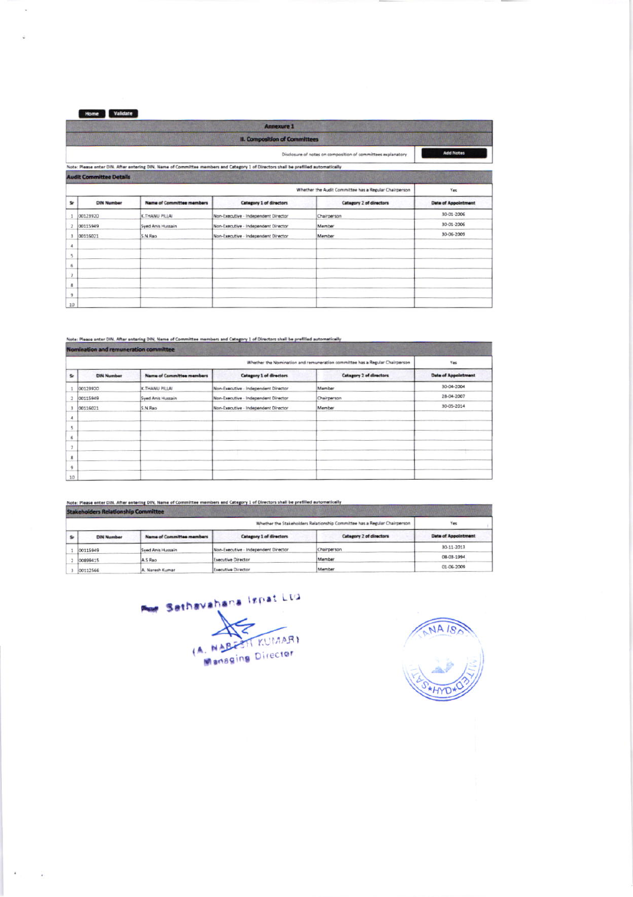Home Validate

 $\bar{\epsilon}$ 

|                         |                                                              |                                  | <b>Annexure 1</b>                                                                                                                  |                                                              |                            |  |  |  |  |
|-------------------------|--------------------------------------------------------------|----------------------------------|------------------------------------------------------------------------------------------------------------------------------------|--------------------------------------------------------------|----------------------------|--|--|--|--|
|                         |                                                              |                                  | <b>II. Composition of Committees</b>                                                                                               |                                                              |                            |  |  |  |  |
|                         |                                                              |                                  |                                                                                                                                    | Disclosure of notes on composition of committees explanatory | <b>Add Notes</b>           |  |  |  |  |
|                         |                                                              |                                  | Note: Please enter DIN. After entering DIN, Name of Committee members and Category 1 of Directors shall be prefilled automatically |                                                              |                            |  |  |  |  |
|                         | <b>Audit Committee Details</b>                               |                                  |                                                                                                                                    |                                                              |                            |  |  |  |  |
|                         | Whether the Audit Committee has a Regular Chairperson<br>Yes |                                  |                                                                                                                                    |                                                              |                            |  |  |  |  |
| \$r                     | <b>DIN Number</b>                                            | <b>Name of Committee members</b> | Category 1 of directors                                                                                                            | Category 2 of directors                                      | <b>Date of Appointment</b> |  |  |  |  |
|                         | 00123920                                                     | K.THANU PILLAI                   | Non-Executive - Independent Director                                                                                               | Chairperson                                                  | 30-01-2006                 |  |  |  |  |
| $\overline{\mathbf{z}}$ | 00115949                                                     | Syed Anis Hussain                | Non-Executive - Independent Director                                                                                               | Member                                                       | 30-01-2006                 |  |  |  |  |
| 3                       | 00116021                                                     | S.N.Rao                          | Non-Executive - Independent Director                                                                                               | <b>Member</b>                                                | 30-06-2009                 |  |  |  |  |
| 4                       |                                                              |                                  |                                                                                                                                    |                                                              |                            |  |  |  |  |
| 5.                      |                                                              |                                  |                                                                                                                                    |                                                              |                            |  |  |  |  |
| 6                       |                                                              |                                  |                                                                                                                                    |                                                              |                            |  |  |  |  |
| y                       |                                                              |                                  |                                                                                                                                    |                                                              |                            |  |  |  |  |
| B.                      |                                                              |                                  |                                                                                                                                    |                                                              |                            |  |  |  |  |
| 9                       |                                                              |                                  |                                                                                                                                    |                                                              |                            |  |  |  |  |
| 10                      |                                                              |                                  |                                                                                                                                    |                                                              |                            |  |  |  |  |

|                         | Nomination and remuneration committee |                                  |                                      |                                                                             |                            |  |  |  |
|-------------------------|---------------------------------------|----------------------------------|--------------------------------------|-----------------------------------------------------------------------------|----------------------------|--|--|--|
|                         |                                       |                                  |                                      | Whether the Nomination and remuneration committee has a Regular Chairperson | Yes                        |  |  |  |
| Sr                      | <b>DIN Number</b>                     | <b>Name of Committee members</b> | <b>Catagory 1 of directors</b>       | <b>Category 2 of directors</b>                                              | <b>Date of Appointment</b> |  |  |  |
| $\mathbbm{1}$           | 00123920                              | K.THANU PILLAI                   | Non-Executive - Independent Director | Member                                                                      | 30-04-2004                 |  |  |  |
| $\overline{\mathbf{z}}$ | 00115949                              | Syed Anis Hussain                | Non-Executive - Independent Director | Chairperson                                                                 | 28-04-2007                 |  |  |  |
| 3                       | 00116021                              | S.N.Rao                          | Non-Executive - Independent Director | Member                                                                      | 30-05-2014                 |  |  |  |
| 4                       |                                       |                                  |                                      |                                                                             |                            |  |  |  |
| š                       |                                       |                                  |                                      |                                                                             |                            |  |  |  |
| 6                       |                                       |                                  |                                      |                                                                             |                            |  |  |  |
|                         |                                       |                                  |                                      |                                                                             |                            |  |  |  |
| $\mathbf{g}$            |                                       |                                  |                                      |                                                                             |                            |  |  |  |
| $\overline{9}$          |                                       |                                  |                                      |                                                                             |                            |  |  |  |
| 10                      |                                       |                                  |                                      |                                                                             |                            |  |  |  |

Note: Please enter DIN. After entering DIN, Name of Committee members and Category 1 of Directors shall be prefilled automatically

|    | <b>Stakeholders Relationship Committee</b>                                |                                  |                                      |                         |                            |  |  |  |
|----|---------------------------------------------------------------------------|----------------------------------|--------------------------------------|-------------------------|----------------------------|--|--|--|
|    | Whether the Stakeholders Relationship Committee has a Regular Chairperson |                                  |                                      |                         |                            |  |  |  |
| Sr | <b>DIN Number</b>                                                         | <b>Name of Committee members</b> | <b>Category 1 of directors</b>       | Category 2 of directors | <b>Data of Appointment</b> |  |  |  |
|    | 00115949                                                                  | Syed Anis Hussain                | Non-Executive - Independent Director | Chairperson             | 30-11-2013                 |  |  |  |
|    | 00899415                                                                  | A.S Rao                          | <b>Executive Director</b>            | Member                  | 08-03-1994                 |  |  |  |
|    | 00112566                                                                  | A. Naresh Kumar                  | Executive Director                   | Member                  | 01-06-2009                 |  |  |  |

Por Sethavahana Ispat Ltd (A. NABESTI KUMAR)

NA ISA **HYD**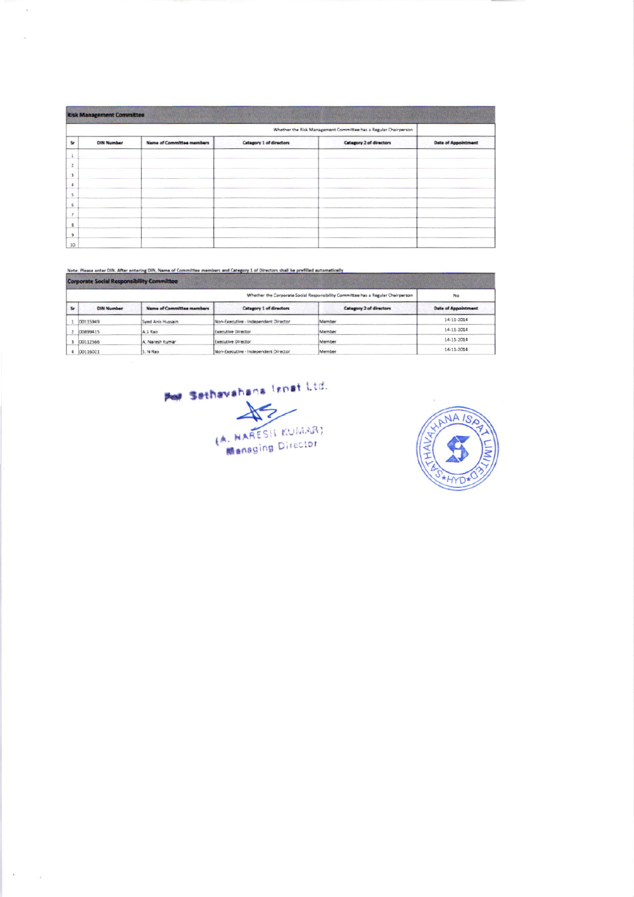|                  | <b>Risk Management Committee</b> | <b>Arry You are the State of Canada and The County</b> |                                |                                                                 |                            |
|------------------|----------------------------------|--------------------------------------------------------|--------------------------------|-----------------------------------------------------------------|----------------------------|
|                  |                                  |                                                        |                                | Whether the Risk Management Committee has a Regular Chairperson |                            |
| $S_{\mathbf{f}}$ | <b>DIN Number</b>                | <b>Name of Committee members</b>                       | <b>Catagory 1 of directors</b> | Category 2 of directors                                         | <b>Date of Appointment</b> |
|                  |                                  |                                                        |                                |                                                                 |                            |
|                  |                                  |                                                        |                                |                                                                 |                            |
|                  |                                  |                                                        |                                |                                                                 |                            |
|                  |                                  |                                                        |                                |                                                                 |                            |
|                  |                                  |                                                        |                                |                                                                 |                            |
|                  |                                  |                                                        |                                |                                                                 |                            |
|                  |                                  |                                                        |                                |                                                                 |                            |
|                  |                                  |                                                        |                                |                                                                 |                            |
|                  |                                  |                                                        |                                |                                                                 |                            |
| 10               |                                  |                                                        |                                |                                                                 |                            |

## Note: Please enter DIN. After entering DIN, Name of Committee members and Category 1 of Directors shall be prefilled automatically

 $\overline{\phantom{a}}$ 

 $\tilde{\mathbf{x}}$ 

i,

|              | Corporate Social Responsibility Committee                                        |                                  |                                      |                                |                            |  |  |  |
|--------------|----------------------------------------------------------------------------------|----------------------------------|--------------------------------------|--------------------------------|----------------------------|--|--|--|
|              | Whether the Corporate Social Responsibility Committee has a Regular Chairperson. |                                  |                                      |                                |                            |  |  |  |
| $\mathbf{S}$ | <b>DIN Number</b>                                                                | <b>Name of Committee members</b> | <b>Category 1 of directors</b>       | <b>Category 2 of directors</b> | <b>Date of Appointment</b> |  |  |  |
|              | 00115949                                                                         | Syed Anis Hussain                | Non-Executive - Independent Director | Member                         | 14-11-2014                 |  |  |  |
|              | 00899415                                                                         | A 5 Rao                          | Executive Director                   | Member                         | 14-11-2014                 |  |  |  |
|              | 00112566                                                                         | A. Naresh Kumar                  | Executive Director                   | Member                         | 14-11-2014                 |  |  |  |
|              | 00116021                                                                         | S. N Rao                         | Non-Executive - Independent Director | Member                         | 14-11-2014                 |  |  |  |



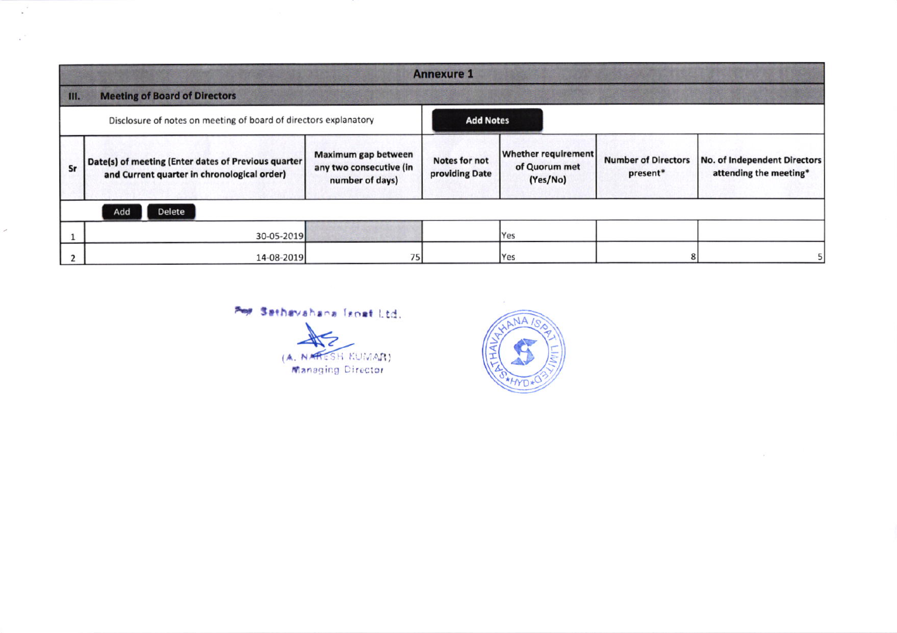|                                                                                      | <b>Annexure 1</b>                                                                                  |                                                                   |                                                                                                   |     |                                        |                                                        |  |  |  |
|--------------------------------------------------------------------------------------|----------------------------------------------------------------------------------------------------|-------------------------------------------------------------------|---------------------------------------------------------------------------------------------------|-----|----------------------------------------|--------------------------------------------------------|--|--|--|
| $\parallel$ III.                                                                     | <b>Meeting of Board of Directors</b>                                                               |                                                                   |                                                                                                   |     |                                        |                                                        |  |  |  |
| Disclosure of notes on meeting of board of directors explanatory<br><b>Add Notes</b> |                                                                                                    |                                                                   |                                                                                                   |     |                                        |                                                        |  |  |  |
| Sr                                                                                   | Date(s) of meeting (Enter dates of Previous quarter<br>and Current quarter in chronological order) | Maximum gap between<br>any two consecutive (in<br>number of days) | <b>Whether requirement</b><br><b>Notes for not</b><br>of Quorum met<br>providing Date<br>(Yes/No) |     | <b>Number of Directors</b><br>present* | No. of Independent Directors<br>attending the meeting* |  |  |  |
|                                                                                      | Delete<br>Add                                                                                      |                                                                   |                                                                                                   |     |                                        |                                                        |  |  |  |
|                                                                                      | 30-05-2019                                                                                         |                                                                   |                                                                                                   | Yes |                                        |                                                        |  |  |  |
|                                                                                      | 14-08-2019                                                                                         | 75                                                                |                                                                                                   | Yes |                                        |                                                        |  |  |  |

## Por Sathavahana fanat Ltd.

 $\mathcal{L}^{\mathcal{L}^{\mathcal{L}}}$ 

 $\sim$ 

 $\mathcal{S}$ 



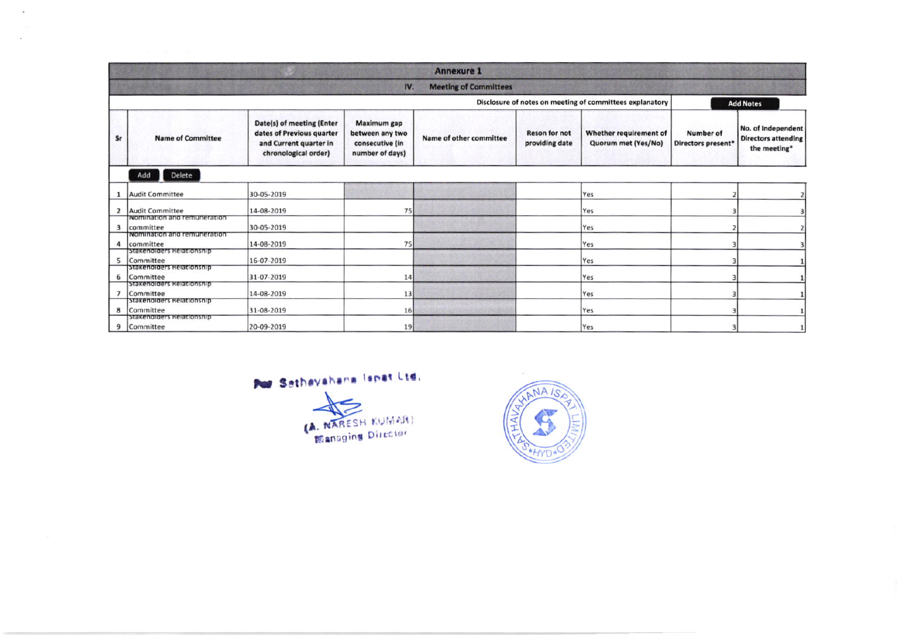|    |                                                       |                                                                                                          |                                                                      | <b>Annexure 1</b>       |                                        |                                                          |                                        |                                                                  |  |  |
|----|-------------------------------------------------------|----------------------------------------------------------------------------------------------------------|----------------------------------------------------------------------|-------------------------|----------------------------------------|----------------------------------------------------------|----------------------------------------|------------------------------------------------------------------|--|--|
|    | IV.<br><b>Meeting of Committees</b>                   |                                                                                                          |                                                                      |                         |                                        |                                                          |                                        |                                                                  |  |  |
|    |                                                       |                                                                                                          |                                                                      |                         |                                        | Disclosure of notes on meeting of committees explanatory |                                        | <b>Add Notes</b>                                                 |  |  |
| Sr | <b>Name of Committee</b>                              | Date(s) of meeting (Enter<br>dates of Previous quarter<br>and Current quarter in<br>chronological order) | Maximum gap<br>between any two<br>consecutive (in<br>number of days) | Name of other committee | <b>Reson for not</b><br>providing date | Whether requirement of<br>Quorum met (Yes/No)            | <b>Number of</b><br>Directors present* | No. of Independent<br><b>Directors attending</b><br>the meeting* |  |  |
|    | Add<br>Delete                                         |                                                                                                          |                                                                      |                         |                                        |                                                          |                                        |                                                                  |  |  |
|    | <b>Audit Committee</b>                                | 30-05-2019                                                                                               |                                                                      |                         |                                        | Yes                                                      |                                        |                                                                  |  |  |
| 2  | <b>Audit Committee</b><br>Nomination and remuneration | 14-08-2019                                                                                               | 75                                                                   |                         |                                        | Yes                                                      |                                        |                                                                  |  |  |
| 3  | committee<br>Nomination and remuneration              | 30-05-2019                                                                                               |                                                                      |                         |                                        | Yes                                                      |                                        |                                                                  |  |  |
| Δ  | committee<br>Stakenoiders Relationship                | 14-08-2019                                                                                               | 75                                                                   |                         |                                        | Yes                                                      |                                        |                                                                  |  |  |
| 5  | Committee<br>Stakenolders Relationship                | 16-07-2019                                                                                               |                                                                      |                         |                                        | Yes                                                      |                                        |                                                                  |  |  |
| 6  | Committee<br>Stakeholders Relationship                | 31-07-2019                                                                                               | 14                                                                   |                         |                                        | Yes                                                      |                                        |                                                                  |  |  |
|    | Committee<br>Stakenoiders Relationship                | 14-08-2019                                                                                               | 13                                                                   |                         |                                        | Yes                                                      |                                        |                                                                  |  |  |
| 8  | Committee                                             | 31-08-2019                                                                                               | 16                                                                   |                         |                                        | Yes                                                      |                                        |                                                                  |  |  |
| 9  | Stakeholders Relationship<br>Committee                | 20-09-2019                                                                                               | 19                                                                   |                         |                                        | Yes                                                      |                                        |                                                                  |  |  |

Por Sathavahana lapat Ltd.

 $\mathcal{L}_{\mathbf{z}}$ 

÷.